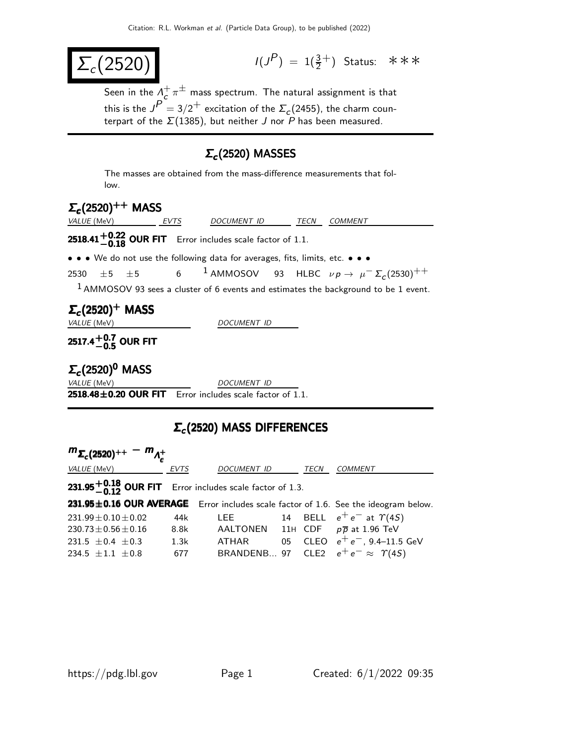$$
\Sigma_c(2520) \tag{3}
$$

 $(P) = 1(\frac{3}{2}^+)$  Status: ∗∗∗

Seen in the  $\Lambda_c^+$  $_c^+ \pi^\pm$  mass spectrum. The natural assignment is that this is the  $J^P = 3/2^+$  excitation of the  $\Sigma_c$ (2455), the charm counterpart of the  $\Sigma(1385)$ , but neither J nor P has been measured.

## $Σ<sub>c</sub>$ (2520) MASSES

The masses are obtained from the mass-difference measurements that follow.

# $\Sigma_c(2520)^{++}$  MASS VALUE (MeV) **EVTS** DOCUMENT ID TECN COMMENT **2518.41** $+0.22$  **OUR FIT** Error includes scale factor of 1.1. • • • We do not use the following data for averages, fits, limits, etc. • • • 2530  $\pm$  5  $\pm$  5 6 <sup>1</sup> AMMOSOV 93 HLBC  $\nu p \rightarrow \mu^{-} \Sigma_{c}$ (2530) $^{++}$  $1$  AMMOSOV 93 sees a cluster of 6 events and estimates the background to be 1 event.  $\Sigma_c$ (2520) $^+$  MASS VALUE (MeV) DOCUMENT ID 2517.4 $^{\rm +0.7}_{\rm -0.5}$  OUR FIT  $\Sigma_c$ (2520) $^0$  MASS VALUE (MeV) DOCUMENT ID  $2518.48\pm0.20$  OUR FIT Error includes scale factor of 1.1.

## $\Sigma_c$ (2520) MASS DIFFERENCES

| $m_{\Sigma_c(2520)^{++}} - m_{\Lambda_c^+}$                     |             |                    |      |                                                                                     |
|-----------------------------------------------------------------|-------------|--------------------|------|-------------------------------------------------------------------------------------|
| <i>VALUE</i> (MeV)                                              | <b>EVTS</b> | <b>DOCUMENT ID</b> | TECN | <b>COMMENT</b>                                                                      |
| <b>231.95 -0.18 OUR FIT</b> Error includes scale factor of 1.3. |             |                    |      |                                                                                     |
|                                                                 |             |                    |      | 231.95±0.16 OUR AVERAGE Error includes scale factor of 1.6. See the ideogram below. |
| $231.99 \pm 0.10 \pm 0.02$                                      | 44k         |                    |      | LEE 14 BELL $e^+e^-$ at $\Upsilon(4S)$                                              |
| 230.73 $\pm$ 0.56 $\pm$ 0.16                                    | 8.8k        |                    |      | AALTONEN 11H CDF $p\overline{p}$ at 1.96 TeV                                        |
| 231.5 $\pm$ 0.4 $\pm$ 0.3                                       | 1.3k        |                    |      | ATHAR 05 CLEO $e^+e^-$ , 9.4–11.5 GeV                                               |
| 234.5 $\pm 1.1$ $\pm 0.8$                                       | 677         |                    |      | BRANDENB 97 CLE2 $e^+e^- \approx \Upsilon(4S)$                                      |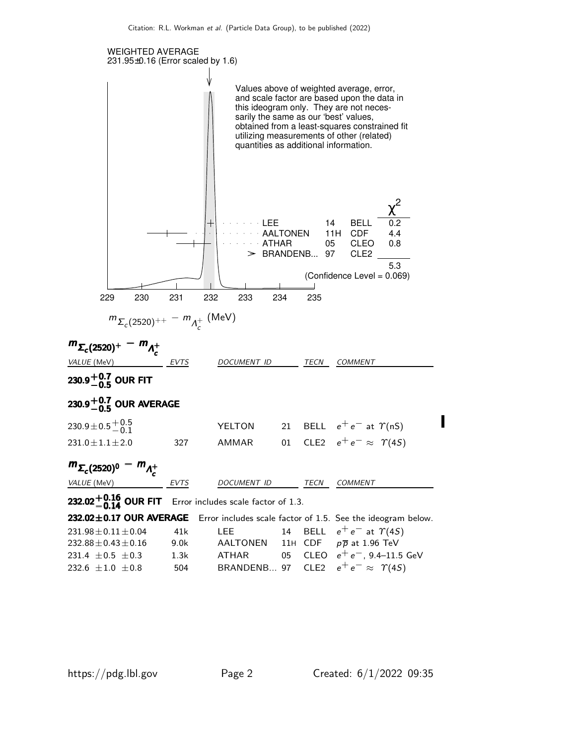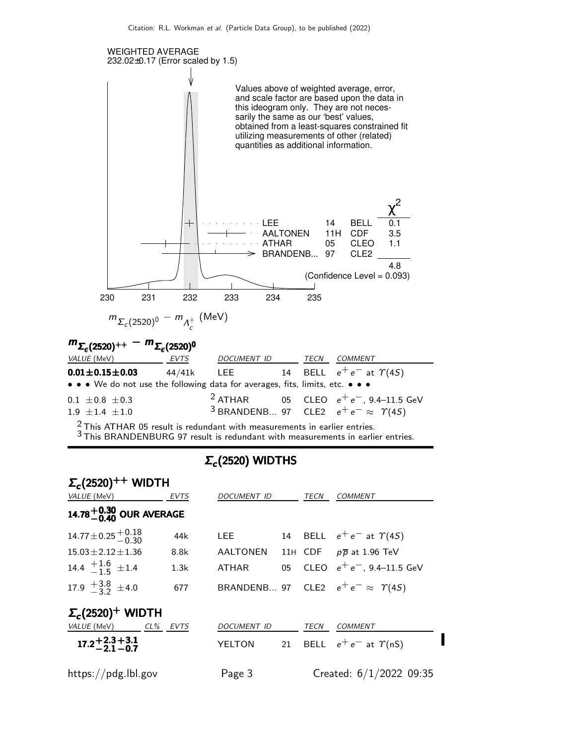

 $\frac{2}{3}$ This ATHAR 05 result is redundant with measurements in earlier entries.

3 This MANDENBURG 97 result is redundant with measurements in earlier entries.

### $Σ_c(2520)$  WIDTHS

| $\Sigma_c(2520)^{++}$ WIDTH                                  |          |                  |      |                                                |
|--------------------------------------------------------------|----------|------------------|------|------------------------------------------------|
| VALUE (MeV)                                                  | EVTS     | DOCUMENT ID      | TECN | <b>COMMENT</b>                                 |
| 14.78 $^{+0.30}_{-0.40}$ OUR AVERAGE                         |          |                  |      |                                                |
| $14.77 \pm 0.25 \begin{array}{c} +0.18 \\ -0.30 \end{array}$ | 44k      | LEE <b>Allen</b> |      | 14 BELL $e^+e^-$ at $\Upsilon(4S)$             |
| $15.03 + 2.12 + 1.36$                                        | 8.8k     |                  |      | AALTONEN 11H CDF $p\overline{p}$ at 1.96 TeV   |
| 14.4 $+1.6$ $\pm 1.4$                                        | 1.3k     | ATHAR            |      | 05 CLEO $e^+e^-$ , 9.4–11.5 GeV                |
| 17.9 $\frac{+3.8}{-3.2}$ ±4.0                                | 677      |                  |      | BRANDENB 97 CLE2 $e^+e^- \approx \Upsilon(45)$ |
| $\Sigma_c(2520)^+$ WIDTH                                     |          |                  |      |                                                |
| VALUE (MeV)                                                  | CL% EVTS | DOCUMENT ID      | TECN | <b>COMMENT</b>                                 |
| $17.2 + 2.3 + 3.1$<br>$-21 - 0.7$                            |          | YELTON           |      | 21 BELL $e^+e^-$ at $\gamma$ (nS)              |
| https://pdg.lbl.gov                                          |          | Page 3           |      | Created: $6/1/2022$ 09:35                      |